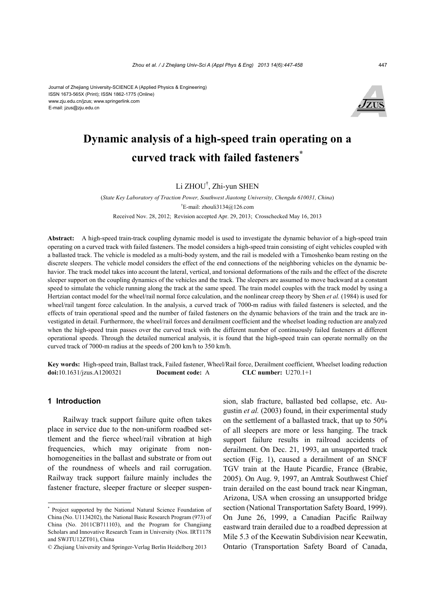Journal of Zhejiang University-SCIENCE A (Applied Physics & Engineering) ISSN 1673-565X (Print); ISSN 1862-1775 (Online) www.zju.edu.cn/jzus; www.springerlink.com E-mail: jzus@zju.edu.cn



# **Dynamic analysis of a high-speed train operating on a curved track with failed fasteners\***

## Li ZHOU† , Zhi-yun SHEN

(*State Key Laboratory of Traction Power, Southwest Jiaotong University, Chengdu 610031, China*) † E-mail: zhouli3134@126.com Received Nov. 28, 2012; Revision accepted Apr. 29, 2013; Crosschecked May 16, 2013

**Abstract:** A high-speed train-track coupling dynamic model is used to investigate the dynamic behavior of a high-speed train operating on a curved track with failed fasteners. The model considers a high-speed train consisting of eight vehicles coupled with a ballasted track. The vehicle is modeled as a multi-body system, and the rail is modeled with a Timoshenko beam resting on the discrete sleepers. The vehicle model considers the effect of the end connections of the neighboring vehicles on the dynamic behavior. The track model takes into account the lateral, vertical, and torsional deformations of the rails and the effect of the discrete sleeper support on the coupling dynamics of the vehicles and the track. The sleepers are assumed to move backward at a constant speed to simulate the vehicle running along the track at the same speed. The train model couples with the track model by using a Hertzian contact model for the wheel/rail normal force calculation, and the nonlinear creep theory by Shen *et al.* (1984) is used for wheel/rail tangent force calculation. In the analysis, a curved track of 7000-m radius with failed fasteners is selected, and the effects of train operational speed and the number of failed fasteners on the dynamic behaviors of the train and the track are investigated in detail. Furthermore, the wheel/rail forces and derailment coefficient and the wheelset loading reduction are analyzed when the high-speed train passes over the curved track with the different number of continuously failed fasteners at different operational speeds. Through the detailed numerical analysis, it is found that the high-speed train can operate normally on the curved track of 7000-m radius at the speeds of 200 km/h to 350 km/h.

**Key words:** High-speed train, Ballast track, Failed fastener, Wheel/Rail force, Derailment coefficient, Wheelset loading reduction **doi:**10.1631/jzus.A1200321 **Document code:** A **CLC number:** U270.1+1

#### **1 Introduction**

Railway track support failure quite often takes place in service due to the non-uniform roadbed settlement and the fierce wheel/rail vibration at high frequencies, which may originate from nonhomogeneities in the ballast and substrate or from out of the roundness of wheels and rail corrugation. Railway track support failure mainly includes the fastener fracture, sleeper fracture or sleeper suspension, slab fracture, ballasted bed collapse, etc. Augustin *et al.* (2003) found, in their experimental study on the settlement of a ballasted track, that up to 50% of all sleepers are more or less hanging. The track support failure results in railroad accidents of derailment. On Dec. 21, 1993, an unsupported track section (Fig. 1), caused a derailment of an SNCF TGV train at the Haute Picardie, France (Brabie, 2005). On Aug. 9, 1997, an Amtrak Southwest Chief train derailed on the east bound track near Kingman, Arizona, USA when crossing an unsupported bridge section (National Transportation Safety Board, 1999). On June 26, 1999, a Canadian Pacific Railway eastward train derailed due to a roadbed depression at Mile 5.3 of the Keewatin Subdivision near Keewatin, Ontario (Transportation Safety Board of Canada,

<sup>\*</sup> Project supported by the National Natural Science Foundation of China (No. U1134202), the National Basic Research Program (973) of China (No. 2011CB711103), and the Program for Changjiang Scholars and Innovative Research Team in University (Nos. IRT1178 and SWJTU12ZT01), China

<sup>©</sup> Zhejiang University and Springer-Verlag Berlin Heidelberg 2013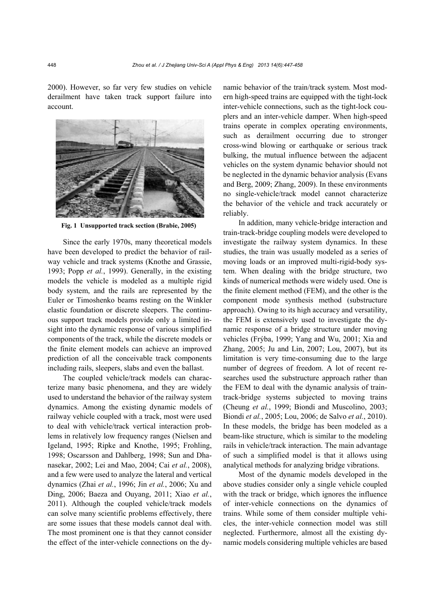2000). However, so far very few studies on vehicle derailment have taken track support failure into account.



**Fig. 1 Unsupported track section (Brabie, 2005)** 

Since the early 1970s, many theoretical models have been developed to predict the behavior of railway vehicle and track systems (Knothe and Grassie, 1993; Popp *et al.*, 1999). Generally, in the existing models the vehicle is modeled as a multiple rigid body system, and the rails are represented by the Euler or Timoshenko beams resting on the Winkler elastic foundation or discrete sleepers. The continuous support track models provide only a limited insight into the dynamic response of various simplified components of the track, while the discrete models or the finite element models can achieve an improved prediction of all the conceivable track components including rails, sleepers, slabs and even the ballast.

The coupled vehicle/track models can characterize many basic phenomena, and they are widely used to understand the behavior of the railway system dynamics. Among the existing dynamic models of railway vehicle coupled with a track, most were used to deal with vehicle/track vertical interaction problems in relatively low frequency ranges (Nielsen and Igeland, 1995; Ripke and Knothe, 1995; Frohling, 1998; Oscarsson and Dahlberg, 1998; Sun and Dhanasekar, 2002; Lei and Mao, 2004; Cai *et al.*, 2008), and a few were used to analyze the lateral and vertical dynamics (Zhai *et al.*, 1996; Jin *et al.*, 2006; Xu and Ding, 2006; Baeza and Ouyang, 2011; Xiao *et al.*, 2011). Although the coupled vehicle/track models can solve many scientific problems effectively, there are some issues that these models cannot deal with. The most prominent one is that they cannot consider the effect of the inter-vehicle connections on the dynamic behavior of the train/track system. Most modern high-speed trains are equipped with the tight-lock inter-vehicle connections, such as the tight-lock couplers and an inter-vehicle damper. When high-speed trains operate in complex operating environments, such as derailment occurring due to stronger cross-wind blowing or earthquake or serious track bulking, the mutual influence between the adjacent vehicles on the system dynamic behavior should not be neglected in the dynamic behavior analysis (Evans and Berg, 2009; Zhang, 2009). In these environments no single-vehicle/track model cannot characterize the behavior of the vehicle and track accurately or reliably.

In addition, many vehicle-bridge interaction and train-track-bridge coupling models were developed to investigate the railway system dynamics. In these studies, the train was usually modeled as a series of moving loads or an improved multi-rigid-body system. When dealing with the bridge structure, two kinds of numerical methods were widely used. One is the finite element method (FEM), and the other is the component mode synthesis method (substructure approach). Owing to its high accuracy and versatility, the FEM is extensively used to investigate the dynamic response of a bridge structure under moving vehicles (Frýba, 1999; Yang and Wu, 2001; Xia and Zhang, 2005; Ju and Lin, 2007; Lou, 2007), but its limitation is very time-consuming due to the large number of degrees of freedom. A lot of recent researches used the substructure approach rather than the FEM to deal with the dynamic analysis of traintrack-bridge systems subjected to moving trains (Cheung *et al.*, 1999; Biondi and Muscolino, 2003; Biondi *et al.*, 2005; Lou, 2006; de Salvo *et al.*, 2010). In these models, the bridge has been modeled as a beam-like structure, which is similar to the modeling rails in vehicle/track interaction. The main advantage of such a simplified model is that it allows using analytical methods for analyzing bridge vibrations.

Most of the dynamic models developed in the above studies consider only a single vehicle coupled with the track or bridge, which ignores the influence of inter-vehicle connections on the dynamics of trains. While some of them consider multiple vehicles, the inter-vehicle connection model was still neglected. Furthermore, almost all the existing dynamic models considering multiple vehicles are based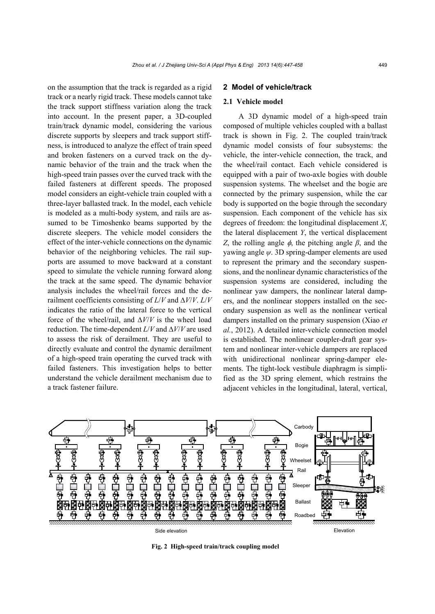on the assumption that the track is regarded as a rigid track or a nearly rigid track. These models cannot take the track support stiffness variation along the track into account. In the present paper, a 3D-coupled train/track dynamic model, considering the various discrete supports by sleepers and track support stiffness, is introduced to analyze the effect of train speed and broken fasteners on a curved track on the dynamic behavior of the train and the track when the high-speed train passes over the curved track with the failed fasteners at different speeds. The proposed model considers an eight-vehicle train coupled with a three-layer ballasted track. In the model, each vehicle is modeled as a multi-body system, and rails are assumed to be Timoshenko beams supported by the discrete sleepers. The vehicle model considers the effect of the inter-vehicle connections on the dynamic behavior of the neighboring vehicles. The rail supports are assumed to move backward at a constant speed to simulate the vehicle running forward along the track at the same speed. The dynamic behavior analysis includes the wheel/rail forces and the derailment coefficients consisting of *L*/*V* and ∆*V*/*V*. *L*/*V* indicates the ratio of the lateral force to the vertical force of the wheel/rail, and ∆*V*/*V* is the wheel load reduction. The time-dependent *L*/*V* and ∆*V*/*V* are used to assess the risk of derailment. They are useful to directly evaluate and control the dynamic derailment of a high-speed train operating the curved track with failed fasteners. This investigation helps to better understand the vehicle derailment mechanism due to a track fastener failure.

#### **2 Model of vehicle/track**

### **2.1 Vehicle model**

A 3D dynamic model of a high-speed train composed of multiple vehicles coupled with a ballast track is shown in Fig. 2. The coupled train/track dynamic model consists of four subsystems: the vehicle, the inter-vehicle connection, the track, and the wheel/rail contact. Each vehicle considered is equipped with a pair of two-axle bogies with double suspension systems. The wheelset and the bogie are connected by the primary suspension, while the car body is supported on the bogie through the secondary suspension. Each component of the vehicle has six degrees of freedom: the longitudinal displacement *X*, the lateral displacement *Y*, the vertical displacement *Z*, the rolling angle  $\phi$ , the pitching angle  $\beta$ , and the yawing angle *ψ*. 3D spring-damper elements are used to represent the primary and the secondary suspensions, and the nonlinear dynamic characteristics of the suspension systems are considered, including the nonlinear yaw dampers, the nonlinear lateral dampers, and the nonlinear stoppers installed on the secondary suspension as well as the nonlinear vertical dampers installed on the primary suspension (Xiao *et al.*, 2012). A detailed inter-vehicle connection model is established. The nonlinear coupler-draft gear system and nonlinear inter-vehicle dampers are replaced with unidirectional nonlinear spring-damper elements. The tight-lock vestibule diaphragm is simplified as the 3D spring element, which restrains the adjacent vehicles in the longitudinal, lateral, vertical,



**Fig. 2 High-speed train/track coupling model**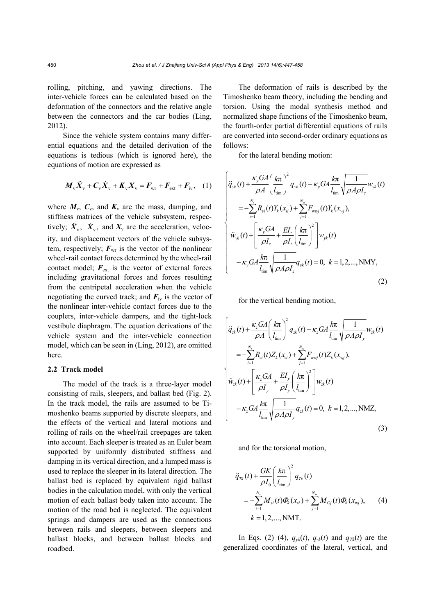rolling, pitching, and yawing directions. The inter-vehicle forces can be calculated based on the deformation of the connectors and the relative angle between the connectors and the car bodies (Ling, 2012).

Since the vehicle system contains many differential equations and the detailed derivation of the equations is tedious (which is ignored here), the equations of motion are expressed as

$$
\boldsymbol{M}_{\mathrm{v}} \ddot{\boldsymbol{X}}_{\mathrm{v}} + \boldsymbol{C}_{\mathrm{v}} \dot{\boldsymbol{X}}_{\mathrm{v}} + \boldsymbol{K}_{\mathrm{v}} \boldsymbol{X}_{\mathrm{v}} = \boldsymbol{F}_{\mathrm{wr}} + \boldsymbol{F}_{\mathrm{ext}} + \boldsymbol{F}_{\mathrm{iv}}, \quad (1)
$$

where  $M_v$ ,  $C_v$ , and  $K_v$  are the mass, damping, and stiffness matrices of the vehicle subsystem, respectively;  $\ddot{X}_{v}$ ,  $\dot{X}_{v}$ , and  $X_{v}$  are the acceleration, velocity, and displacement vectors of the vehicle subsystem, respectively;  $F_{wr}$  is the vector of the nonlinear wheel-rail contact forces determined by the wheel-rail contact model;  $F_{\text{ext}}$  is the vector of external forces including gravitational forces and forces resulting from the centripetal acceleration when the vehicle negotiating the curved track; and  $F_{iv}$  is the vector of the nonlinear inter-vehicle contact forces due to the couplers, inter-vehicle dampers, and the tight-lock vestibule diaphragm. The equation derivations of the vehicle system and the inter-vehicle connection model, which can be seen in (Ling, 2012), are omitted here.

### **2.2 Track model**

The model of the track is a three-layer model consisting of rails, sleepers, and ballast bed (Fig. 2). In the track model, the rails are assumed to be Timoshenko beams supported by discrete sleepers, and the effects of the vertical and lateral motions and rolling of rails on the wheel/rail creepages are taken into account. Each sleeper is treated as an Euler beam supported by uniformly distributed stiffness and damping in its vertical direction, and a lumped mass is used to replace the sleeper in its lateral direction. The ballast bed is replaced by equivalent rigid ballast bodies in the calculation model, with only the vertical motion of each ballast body taken into account. The motion of the road bed is neglected. The equivalent springs and dampers are used as the connections between rails and sleepers, between sleepers and ballast blocks, and between ballast blocks and roadbed.

The deformation of rails is described by the Timoshenko beam theory, including the bending and torsion. Using the modal synthesis method and normalized shape functions of the Timoshenko beam, the fourth-order partial differential equations of rails are converted into second-order ordinary equations as follows:

for the lateral bending motion:

$$
\begin{cases}\n\ddot{q}_{jk}(t) + \frac{\kappa_{y} GA}{\rho A} \left(\frac{k\pi}{l_{\text{tim}}}\right)^{2} q_{jk}(t) - \kappa_{y} GA \frac{k\pi}{l_{\text{tim}}} \sqrt{\frac{1}{\rho A \rho I_{z}}} w_{yk}(t) \\
= -\sum_{i=1}^{N_{s}} R_{yi}(t) Y_{k}(x_{si}) + \sum_{j=1}^{N_{w}} F_{wnyj}(t) Y_{k}(x_{wj}), \\
\ddot{w}_{yk}(t) + \left[\frac{\kappa_{y} GA}{\rho I_{z}} + \frac{EI_{z}}{\rho I_{z}} \left(\frac{k\pi}{l_{\text{tim}}}\right)^{2}\right] w_{yk}(t) \\
-\kappa_{y} GA \frac{k\pi}{l_{\text{tim}}} \sqrt{\frac{1}{\rho A \rho I_{z}}} q_{yk}(t) = 0, \ k = 1, 2, ..., NMY,\n\end{cases}
$$
\n(2)

for the vertical bending motion,

$$
\begin{cases}\n\ddot{q}_{zk}(t) + \frac{\kappa_z GA}{\rho A} \left(\frac{k\pi}{l_{\text{lim}}}\right)^2 q_{zk}(t) - \kappa_z GA \frac{k\pi}{l_{\text{lim}}} \sqrt{\frac{1}{\rho A \rho I_y}} w_{zk}(t) \\
= -\sum_{i=1}^{N_s} R_{zi}(t) Z_k(x_{si}) + \sum_{j=1}^{N_w} F_{w_{tzj}}(t) Z_k(x_{wj}), \\
\ddot{w}_{zk}(t) + \left[\frac{\kappa_z GA}{\rho I_y} + \frac{EI_y}{\rho I_y} \left(\frac{k\pi}{l_{\text{lim}}}\right)^2\right] w_{zk}(t) \\
- \kappa_z GA \frac{k\pi}{l_{\text{lim}}} \sqrt{\frac{1}{\rho A \rho I_y}} q_{zk}(t) = 0, \ k = 1, 2, ..., \text{NMZ},\n\end{cases}
$$
\n(3)

and for the torsional motion,

$$
\ddot{q}_{Tk}(t) + \frac{GK}{\rho I_0} \left(\frac{k\pi}{l_{\text{tim}}}\right)^2 q_{Tk}(t) \n= -\sum_{i=1}^{N_s} M_{si}(t) \Phi_k(x_{si}) + \sum_{j=1}^{N_w} M_{Gj}(t) \Phi_k(x_{wj}), \qquad (4) \nk = 1, 2, ..., NMT.
$$

In Eqs. (2)–(4),  $q_{yk}(t)$ ,  $q_{zk}(t)$  and  $q_{Tk}(t)$  are the generalized coordinates of the lateral, vertical, and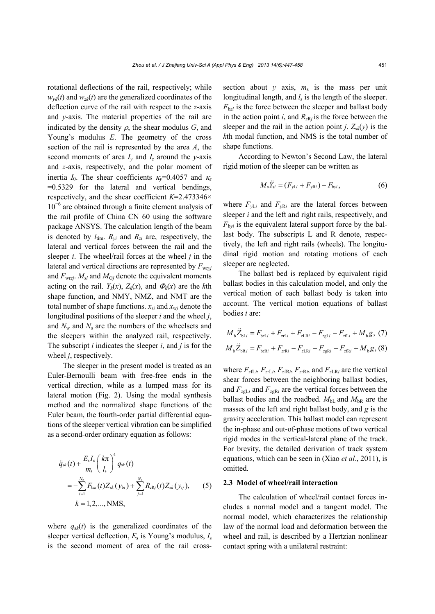rotational deflections of the rail, respectively; while  $w_{yk}(t)$  and  $w_{zk}(t)$  are the generalized coordinates of the deflection curve of the rail with respect to the *z*-axis and *y*-axis. The material properties of the rail are indicated by the density  $\rho$ , the shear modulus  $G$ , and Young's modulus *E*. The geometry of the cross section of the rail is represented by the area *A*, the second moments of area  $I_v$  and  $I_z$  around the *y*-axis and *z*-axis, respectively, and the polar moment of inertia  $I_0$ . The shear coefficients  $\kappa_v$ =0.4057 and  $\kappa_z$ =0.5329 for the lateral and vertical bendings, respectively, and the shear coefficient *K*=2.473346× 10<sup>−</sup><sup>6</sup> are obtained through a finite element analysis of the rail profile of China CN 60 using the software package ANSYS. The calculation length of the beam is denoted by  $l_{\text{tim.}}$   $R_{\text{vi}}$  and  $R_{\text{zi}}$  are, respectively, the lateral and vertical forces between the rail and the sleeper *i*. The wheel/rail forces at the wheel *j* in the lateral and vertical directions are represented by  $F_{\text{wryj}}$ and  $F_{\text{wr}zj}$ .  $M_{\text{si}}$  and  $M_{\text{G}j}$  denote the equivalent moments acting on the rail.  $Y_k(x)$ ,  $Z_k(x)$ , and  $\Phi_k(x)$  are the *k*th shape function, and NMY, NMZ, and NMT are the total number of shape functions.  $x_{si}$  and  $x_{wi}$  denote the longitudinal positions of the sleeper *i* and the wheel *j*, and  $N_w$  and  $N_s$  are the numbers of the wheelsets and the sleepers within the analyzed rail, respectively. The subscript *i* indicates the sleeper *i*, and *j* is for the wheel *j*, respectively.

The sleeper in the present model is treated as an Euler-Bernoulli beam with free-free ends in the vertical direction, while as a lumped mass for its lateral motion (Fig. 2). Using the modal synthesis method and the normalized shape functions of the Euler beam, the fourth-order partial differential equations of the sleeper vertical vibration can be simplified as a second-order ordinary equation as follows:

$$
\ddot{q}_{sk}(t) + \frac{E_s I_s}{m_s} \left(\frac{k\pi}{l_s}\right)^4 q_{sk}(t) \n= -\sum_{i=1}^{N_b} F_{bz_i}(t) Z_{sk}(y_{bi}) + \sum_{j=1}^{N_t} R_{zRj}(t) Z_{sk}(y_{ij}), \qquad (5) \nk = 1, 2, ..., NMS,
$$

where  $q_{sk}(t)$  is the generalized coordinates of the sleeper vertical deflection, *E*s is Young's modulus, *I*<sup>s</sup> is the second moment of area of the rail crosssection about  $y$  axis,  $m<sub>s</sub>$  is the mass per unit longitudinal length, and  $l_s$  is the length of the sleeper.  $F_{\text{b}zi}$  is the force between the sleeper and ballast body in the action point  $i$ , and  $R_{zR}$  is the force between the sleeper and the rail in the action point *j*.  $Z_{sk}(y)$  is the *k*th modal function, and NMS is the total number of shape functions.

According to Newton's Second Law, the lateral rigid motion of the sleeper can be written as

$$
M_{\rm s} \ddot{Y}_{\rm si} = (F_{\rm yLi} + F_{\rm yRi}) - F_{\rm byi},\tag{6}
$$

where  $F_{vLi}$  and  $F_{vRi}$  are the lateral forces between sleeper *i* and the left and right rails, respectively, and  $F_{bvi}$  is the equivalent lateral support force by the ballast body. The subscripts L and R denote, respectively, the left and right rails (wheels). The longitudinal rigid motion and rotating motions of each sleeper are neglected.

The ballast bed is replaced by equivalent rigid ballast bodies in this calculation model, and only the vertical motion of each ballast body is taken into account. The vertical motion equations of ballast bodies *i* are:

$$
M_{\rm b} \ddot{Z}_{\rm bLi} = F_{\rm bzLi} + F_{\rm zri} + F_{\rm zLRi} - F_{\rm zgl.i} - F_{\rm zfi} + M_{\rm b}g, (7)
$$
  

$$
M_{\rm b} \ddot{Z}_{\rm bRi} = F_{\rm bzRi} + F_{\rm zrRi} - F_{\rm zLRi} - F_{\rm zgRi} - F_{\rm zrRi} + M_{\rm b}g, (8)
$$

where  $F_{z\text{fL}i}$ ,  $F_{z\text{fL}i}$ ,  $F_{z\text{fR}i}$ ,  $F_{z\text{fR}i}$ , and  $F_{z\text{L}i}$  are the vertical shear forces between the neighboring ballast bodies, and  $F_{z}$ <sub>gLi</sub> and  $F_{z}$ <sub>gRi</sub> are the vertical forces between the ballast bodies and the roadbed.  $M<sub>bL</sub>$  and  $M<sub>bR</sub>$  are the masses of the left and right ballast body, and *g* is the gravity acceleration. This ballast model can represent the in-phase and out-of-phase motions of two vertical rigid modes in the vertical-lateral plane of the track. For brevity, the detailed derivation of track system equations, which can be seen in (Xiao *et al.*, 2011), is omitted.

#### **2.3 Model of wheel/rail interaction**

The calculation of wheel/rail contact forces includes a normal model and a tangent model. The normal model, which characterizes the relationship law of the normal load and deformation between the wheel and rail, is described by a Hertzian nonlinear contact spring with a unilateral restraint: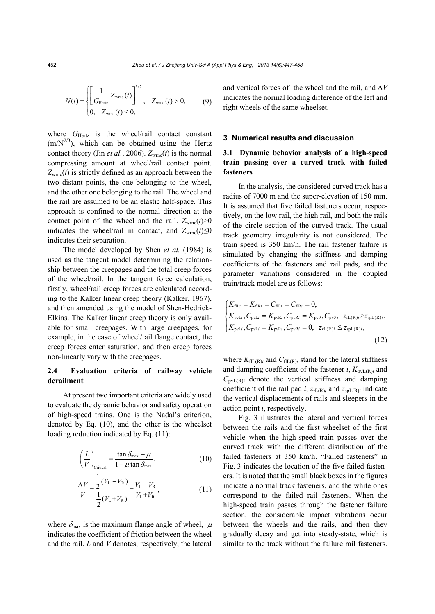$$
N(t) = \begin{cases} \left[ \frac{1}{G_{\text{Hertz}}} Z_{\text{wmc}}(t) \right]^{3/2}, & Z_{\text{wmc}}(t) > 0, \\ 0, & Z_{\text{wmc}}(t) \le 0, \end{cases}
$$
(9)

where  $G_{\text{Hertz}}$  is the wheel/rail contact constant  $(m/N^{2/3})$ , which can be obtained using the Hertz contact theory (Jin *et al.*, 2006).  $Z_{\text{wmc}}(t)$  is the normal compressing amount at wheel/rail contact point.  $Z_{\text{wmc}}(t)$  is strictly defined as an approach between the two distant points, the one belonging to the wheel, and the other one belonging to the rail. The wheel and the rail are assumed to be an elastic half-space. This approach is confined to the normal direction at the contact point of the wheel and the rail.  $Z_{w\text{rec}}(t) \ge 0$ indicates the wheel/rail in contact, and  $Z_{wmc}(t) \le 0$ indicates their separation.

The model developed by Shen *et al.* (1984) is used as the tangent model determining the relationship between the creepages and the total creep forces of the wheel/rail. In the tangent force calculation, firstly, wheel/rail creep forces are calculated according to the Kalker linear creep theory (Kalker, 1967), and then amended using the model of Shen-Hedrick-Elkins. The Kalker linear creep theory is only available for small creepages. With large creepages, for example, in the case of wheel/rail flange contact, the creep forces enter saturation, and then creep forces non-linearly vary with the creepages.

## **2.4 Evaluation criteria of railway vehicle derailment**

At present two important criteria are widely used to evaluate the dynamic behavior and safety operation of high-speed trains. One is the Nadal's criterion, denoted by Eq. (10), and the other is the wheelset loading reduction indicated by Eq. (11):

$$
\left(\frac{L}{V}\right)_{\text{Critical}} = \frac{\tan \delta_{\text{max}} - \mu}{1 + \mu \tan \delta_{\text{max}}},\tag{10}
$$

$$
\frac{\Delta V}{V} = \frac{\frac{1}{2}(V_{\rm L} - V_{\rm R})}{\frac{1}{2}(V_{\rm L} + V_{\rm R})} = \frac{V_{\rm L} - V_{\rm R}}{V_{\rm L} + V_{\rm R}},\tag{11}
$$

where  $\delta_{\text{max}}$  is the maximum flange angle of wheel,  $\mu$ indicates the coefficient of friction between the wheel and the rail. *L* and *V* denotes, respectively, the lateral and vertical forces of the wheel and the rail, and  $\Delta V$ indicates the normal loading difference of the left and right wheels of the same wheelset.

#### **3 Numerical results and discussion**

## **3.1 Dynamic behavior analysis of a high-speed train passing over a curved track with failed fasteners**

In the analysis, the considered curved track has a radius of 7000 m and the super-elevation of 150 mm. It is assumed that five failed fasteners occur, respectively, on the low rail, the high rail, and both the rails of the circle section of the curved track. The usual track geometry irregularity is not considered. The train speed is 350 km/h. The rail fastener failure is simulated by changing the stiffness and damping coefficients of the fasteners and rail pads, and the parameter variations considered in the coupled train/track model are as follows:

$$
\begin{cases}\nK_{\text{fIL}i} = K_{\text{fIR}i} = C_{\text{fIL}i} = C_{\text{fIR}i} = 0, \\
K_{\text{pvLi}}\text{, } C_{\text{pvLi}} = K_{\text{pvR}i}\text{, } C_{\text{pvR}i} = K_{\text{pv0}}\text{, } C_{\text{pv0}}\text{, } z_{\text{rL(R)}i} > z_{\text{spL(R)}i}, \\
K_{\text{pvLi}}\text{, } C_{\text{pvLi}} = K_{\text{pvR}i}\text{, } C_{\text{pvR}i} = 0\text{, } z_{\text{rL(R)}i} \le z_{\text{spL(R)}i},\n\end{cases} \tag{12}
$$

where  $K_{\text{fIL(R)}i}$  and  $C_{\text{fIL(R)}i}$  stand for the lateral stiffness and damping coefficient of the fastener  $i$ ,  $K_{pvL(R)i}$  and  $C_{\text{pvl}(R)i}$  denote the vertical stiffness and damping coefficient of the rail pad  $i$ ,  $z_{rL(R)i}$  and  $z_{spL(R)i}$  indicate the vertical displacements of rails and sleepers in the action point *i*, respectively.

Fig. 3 illustrates the lateral and vertical forces between the rails and the first wheelset of the first vehicle when the high-speed train passes over the curved track with the different distribution of the failed fasteners at 350 km/h. "Failed fasteners" in Fig. 3 indicates the location of the five failed fasteners. It is noted that the small black boxes in the figures indicate a normal track fasteners, and the white ones correspond to the failed rail fasteners. When the high-speed train passes through the fastener failure section, the considerable impact vibrations occur between the wheels and the rails, and then they gradually decay and get into steady-state, which is similar to the track without the failure rail fasteners.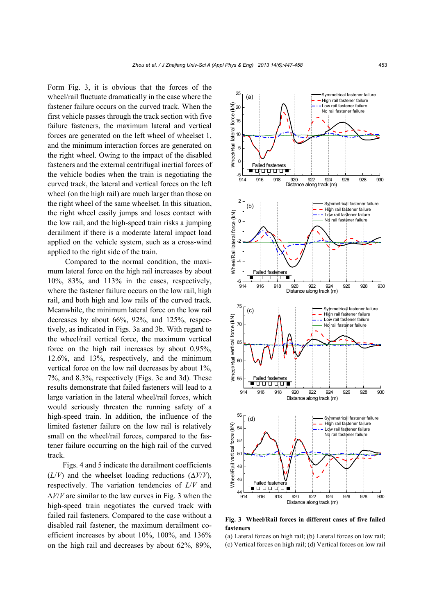Form Fig. 3, it is obvious that the forces of the wheel/rail fluctuate dramatically in the case where the fastener failure occurs on the curved track. When the first vehicle passes through the track section with five failure fasteners, the maximum lateral and vertical forces are generated on the left wheel of wheelset 1, and the minimum interaction forces are generated on the right wheel. Owing to the impact of the disabled fasteners and the external centrifugal inertial forces of the vehicle bodies when the train is negotiating the curved track, the lateral and vertical forces on the left wheel (on the high rail) are much larger than those on the right wheel of the same wheelset. In this situation, the right wheel easily jumps and loses contact with the low rail, and the high-speed train risks a jumping derailment if there is a moderate lateral impact load applied on the vehicle system, such as a cross-wind applied to the right side of the train.

Compared to the normal condition, the maximum lateral force on the high rail increases by about 10%, 83%, and 113% in the cases, respectively, where the fastener failure occurs on the low rail, high rail, and both high and low rails of the curved track. Meanwhile, the minimum lateral force on the low rail decreases by about 66%, 92%, and 125%, respectively, as indicated in Figs. 3a and 3b. With regard to the wheel/rail vertical force, the maximum vertical force on the high rail increases by about 0.95%, 12.6%, and 13%, respectively, and the minimum vertical force on the low rail decreases by about 1%, 7%, and 8.3%, respectively (Figs. 3c and 3d). These results demonstrate that failed fasteners will lead to a large variation in the lateral wheel/rail forces, which would seriously threaten the running safety of a high-speed train. In addition, the influence of the limited fastener failure on the low rail is relatively small on the wheel/rail forces, compared to the fastener failure occurring on the high rail of the curved track.

Figs. 4 and 5 indicate the derailment coefficients  $(L/V)$  and the wheelset loading reductions  $(\Delta V/V)$ , respectively. The variation tendencies of *L*/*V* and  $\Delta V/V$  are similar to the law curves in Fig. 3 when the high-speed train negotiates the curved track with failed rail fasteners. Compared to the case without a disabled rail fastener, the maximum derailment coefficient increases by about 10%, 100%, and 136% on the high rail and decreases by about 62%, 89%,



**Fig. 3 Wheel/Rail forces in different cases of five failed fasteners**

(a) Lateral forces on high rail; (b) Lateral forces on low rail;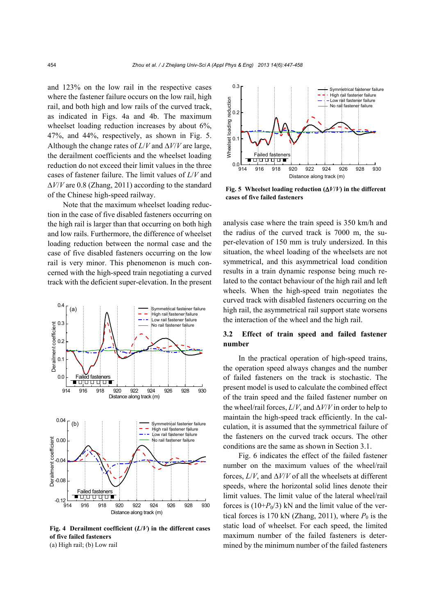and 123% on the low rail in the respective cases where the fastener failure occurs on the low rail, high rail, and both high and low rails of the curved track, as indicated in Figs. 4a and 4b. The maximum wheelset loading reduction increases by about 6%, 47%, and 44%, respectively, as shown in Fig. 5. Although the change rates of  $L/V$  and  $\Delta V/V$  are large, the derailment coefficients and the wheelset loading reduction do not exceed their limit values in the three cases of fastener failure. The limit values of *L*/*V* and  $\Delta V/V$  are 0.8 (Zhang, 2011) according to the standard of the Chinese high-speed railway.

Note that the maximum wheelset loading reduction in the case of five disabled fasteners occurring on the high rail is larger than that occurring on both high and low rails. Furthermore, the difference of wheelset loading reduction between the normal case and the case of five disabled fasteners occurring on the low rail is very minor. This phenomenon is much concerned with the high-speed train negotiating a curved track with the deficient super-elevation. In the present



Fig. 4 Derailment coefficient  $(L/V)$  in the different cases **of five failed fasteners** (a) High rail; (b) Low rail



**Fig. 5** Wheelset loading reduction  $(\Delta V/V)$  in the different **cases of five failed fasteners** 

analysis case where the train speed is 350 km/h and the radius of the curved track is 7000 m, the super-elevation of 150 mm is truly undersized. In this situation, the wheel loading of the wheelsets are not symmetrical, and this asymmetrical load condition results in a train dynamic response being much related to the contact behaviour of the high rail and left wheels. When the high-speed train negotiates the curved track with disabled fasteners occurring on the high rail, the asymmetrical rail support state worsens the interaction of the wheel and the high rail.

## **3.2 Effect of train speed and failed fastener number**

In the practical operation of high-speed trains, the operation speed always changes and the number of failed fasteners on the track is stochastic. The present model is used to calculate the combined effect of the train speed and the failed fastener number on the wheel/rail forces,  $L/V$ , and  $\Delta V/V$  in order to help to maintain the high-speed track efficiently. In the calculation, it is assumed that the symmetrical failure of the fasteners on the curved track occurs. The other conditions are the same as shown in Section 3.1.

Fig. 6 indicates the effect of the failed fastener number on the maximum values of the wheel/rail forces,  $L/V$ , and  $\Delta V/V$  of all the wheelsets at different speeds, where the horizontal solid lines denote their limit values. The limit value of the lateral wheel/rail forces is  $(10+P_0/3)$  kN and the limit value of the vertical forces is 170 kN (Zhang, 2011), where  $P_0$  is the static load of wheelset. For each speed, the limited maximum number of the failed fasteners is determined by the minimum number of the failed fasteners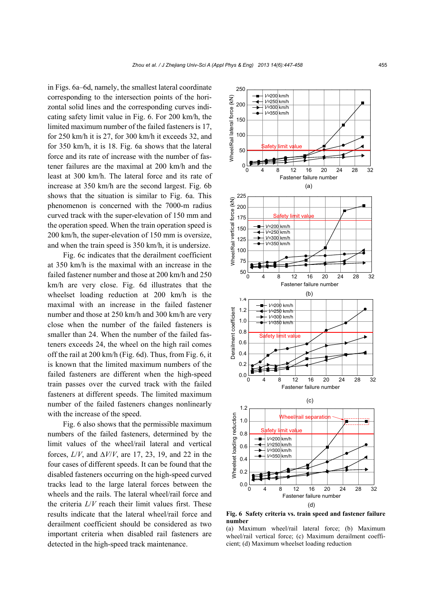in Figs. 6a–6d, namely, the smallest lateral coordinate corresponding to the intersection points of the horizontal solid lines and the corresponding curves indicating safety limit value in Fig. 6. For 200 km/h, the limited maximum number of the failed fasteners is 17, for 250 km/h it is 27, for 300 km/h it exceeds 32, and for 350 km/h, it is 18. Fig. 6a shows that the lateral force and its rate of increase with the number of fastener failures are the maximal at 200 km/h and the least at 300 km/h. The lateral force and its rate of increase at 350 km/h are the second largest. Fig. 6b shows that the situation is similar to Fig. 6a. This phenomenon is concerned with the 7000-m radius curved track with the super-elevation of 150 mm and the operation speed. When the train operation speed is 200 km/h, the super-elevation of 150 mm is oversize, and when the train speed is 350 km/h, it is undersize.

Fig. 6c indicates that the derailment coefficient at 350 km/h is the maximal with an increase in the failed fastener number and those at 200 km/h and 250 km/h are very close. Fig. 6d illustrates that the wheelset loading reduction at 200 km/h is the maximal with an increase in the failed fastener number and those at 250 km/h and 300 km/h are very close when the number of the failed fasteners is smaller than 24. When the number of the failed fasteners exceeds 24, the wheel on the high rail comes off the rail at 200 km/h (Fig. 6d). Thus, from Fig. 6, it is known that the limited maximum numbers of the failed fasteners are different when the high-speed train passes over the curved track with the failed fasteners at different speeds. The limited maximum number of the failed fasteners changes nonlinearly with the increase of the speed.

Fig. 6 also shows that the permissible maximum numbers of the failed fasteners, determined by the limit values of the wheel/rail lateral and vertical forces,  $L/V$ , and  $\Delta V/V$ , are 17, 23, 19, and 22 in the four cases of different speeds. It can be found that the disabled fasteners occurring on the high-speed curved tracks lead to the large lateral forces between the wheels and the rails. The lateral wheel/rail force and the criteria *L*/*V* reach their limit values first. These results indicate that the lateral wheel/rail force and derailment coefficient should be considered as two important criteria when disabled rail fasteners are detected in the high-speed track maintenance.



**Fig. 6 Safety criteria vs. train speed and fastener failure number** 

(a) Maximum wheel/rail lateral force; (b) Maximum wheel/rail vertical force; (c) Maximum derailment coeffi-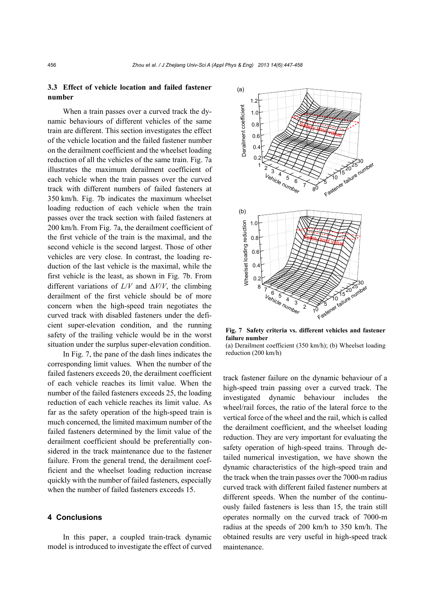## **3.3 Effect of vehicle location and failed fastener number**

When a train passes over a curved track the dynamic behaviours of different vehicles of the same train are different. This section investigates the effect of the vehicle location and the failed fastener number on the derailment coefficient and the wheelset loading reduction of all the vehicles of the same train. Fig. 7a illustrates the maximum derailment coefficient of each vehicle when the train passes over the curved track with different numbers of failed fasteners at 350 km/h. Fig. 7b indicates the maximum wheelset loading reduction of each vehicle when the train passes over the track section with failed fasteners at 200 km/h. From Fig. 7a, the derailment coefficient of the first vehicle of the train is the maximal, and the second vehicle is the second largest. Those of other vehicles are very close. In contrast, the loading reduction of the last vehicle is the maximal, while the first vehicle is the least, as shown in Fig. 7b. From different variations of  $L/V$  and  $\Delta V/V$ , the climbing derailment of the first vehicle should be of more concern when the high-speed train negotiates the curved track with disabled fasteners under the deficient super-elevation condition, and the running safety of the trailing vehicle would be in the worst situation under the surplus super-elevation condition.

In Fig. 7, the pane of the dash lines indicates the corresponding limit values. When the number of the failed fasteners exceeds 20, the derailment coefficient of each vehicle reaches its limit value. When the number of the failed fasteners exceeds 25, the loading reduction of each vehicle reaches its limit value. As far as the safety operation of the high-speed train is much concerned, the limited maximum number of the failed fasteners determined by the limit value of the derailment coefficient should be preferentially considered in the track maintenance due to the fastener failure. From the general trend, the derailment coefficient and the wheelset loading reduction increase quickly with the number of failed fasteners, especially when the number of failed fasteners exceeds 15.

### **4 Conclusions**

In this paper, a coupled train-track dynamic model is introduced to investigate the effect of curved



**Fig. 7 Safety criteria vs. different vehicles and fastener failure number** 

(a) Derailment coefficient (350 km/h); (b) Wheelset loading reduction (200 km/h)

track fastener failure on the dynamic behaviour of a high-speed train passing over a curved track. The investigated dynamic behaviour includes the wheel/rail forces, the ratio of the lateral force to the vertical force of the wheel and the rail, which is called the derailment coefficient, and the wheelset loading reduction. They are very important for evaluating the safety operation of high-speed trains. Through detailed numerical investigation, we have shown the dynamic characteristics of the high-speed train and the track when the train passes over the 7000-m radius curved track with different failed fastener numbers at different speeds. When the number of the continuously failed fasteners is less than 15, the train still operates normally on the curved track of 7000-m radius at the speeds of 200 km/h to 350 km/h. The obtained results are very useful in high-speed track maintenance.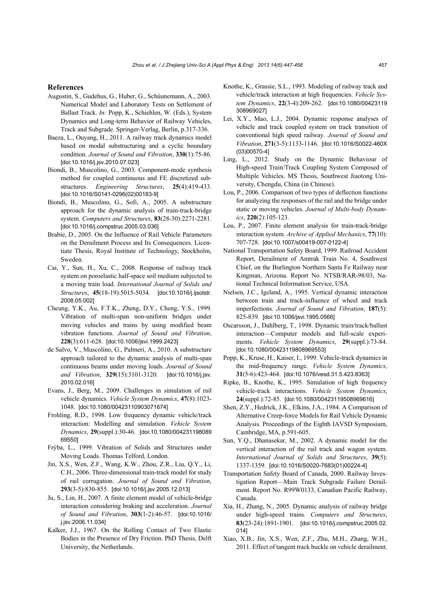#### **References**

- Augustin, S., Gudehus, G., Huber, G., Schüunemann, A., 2003. Numerical Model and Laboratory Tests on Settlement of Ballast Track. *In:* Popp, K., Schiehlen, W. (Eds.), System Dynamics and Long-term Behavior of Railway Vehicles, Track and Subgrade. Springer-Verlag, Berlin, p.317-336.
- Baeza, L., Ouyang, H., 2011. A railway track dynamics model based on modal substructuring and a cyclic boundary condition. *Journal of Sound and Vibration*, **330**(1):75-86. [doi:10.1016/j.jsv.2010.07.023]
- Biondi, B., Muscolino, G., 2003. Component-mode synthesis method for coupled continuous and FE discretized substructures. *Engineering Structures*, **25**(4):419-433. [doi:10.1016/S0141-0296(02)00183-9]
- Biondi, B., Muscolino, G., Sofi, A., 2005. A substructure approach for the dynamic analysis of train-track-bridge system. *Computers and Structures*, **83**(28-30):2271-2281. [doi:10.1016/j.compstruc.2005.03.036]
- Brabie, D., 2005. On the Influence of Rail Vehicle Parameters on the Derailment Process and Its Consequences. Licentiate Thesis, Royal Institute of Technology, Stockholm, Sweden.
- Cai, Y., Sun, H., Xu, C., 2008. Response of railway track system on poroelastic half-space soil medium subjected to a moving train load. *International Journal of Solids and Structures*, **45**(18-19):5015-5034. [doi:10.1016/j.ijsolstr. 2008.05.002]
- Cheung, Y.K., Au, F.T.K., Zheng, D.Y., Cheng, Y.S., 1999. Vibration of multi-span non-uniform bridges under moving vehicles and trains by using modified beam vibration functions. *Journal of Sound and Vibration*, **228**(3):611-628. [doi:10.1006/jsvi.1999.2423]
- de Salvo, V., Muscolino, G., Palmeri, A., 2010. A substructure approach tailored to the dynamic analysis of multi-span continuous beams under moving loads. *Journal of Sound and Vibration*, **329**(15):3101-3120. [doi:10.1016/j.jsv. 2010.02.016]
- Evans, J., Berg, M., 2009. Challenges in simulation of rail vehicle dynamics. *Vehicle System Dynamics*, **47**(8):1023- 1048. [doi:10.1080/00423110903071674]
- Frohling, R.D., 1998. Low frequency dynamic vehicle/track interaction: Modelling and simulation. *Vehicle System Dynamics*, **29**(suppl.):30-46. [doi:10.1080/004231198089 69550]
- Frýba, L., 1999. Vibration of Solids and Structures under Moving Loads. Thomas Telford, London.
- Jin, X.S., Wen, Z.F., Wang, K.W., Zhou, Z.R., Liu, Q.Y., Li, C.H., 2006. Three-dimensional train-track model for study of rail corrugation. *Journal of Sound and Vibration*, **293**(3-5):830-855. [doi:10.1016/j.jsv.2005.12.013]
- Ju, S., Lin, H., 2007. A finite element model of vehicle-bridge interaction considering braking and acceleration. *Journal of Sound and Vibration*, **303**(1-2):46-57. [doi:10.1016/ j.jsv.2006.11.034]
- Kalker, J.J., 1967. On the Rolling Contact of Two Elastic Bodies in the Presence of Dry Friction. PhD Thesis, Delft University, the Netherlands.
- Knothe, K., Grassie, S.L., 1993. Modeling of railway track and vehicle/track interaction at high frequencies. *Vehicle System Dynamics*, **22**(3-4):209-262. [doi:10.1080/00423119 308969027]
- Lei, X.Y., Mao, L.J., 2004. Dynamic response analyses of vehicle and track coupled system on track transition of conventional high speed railway. *Journal of Sound and Vibration*, **271**(3-5):1133-1146. [doi:10.1016/S0022-460X (03)00570-4]
- Ling, L., 2012. Study on the Dynamic Behaviour of High-speed Train/Track Coupling System Composed of Multiple Vehicles. MS Thesis, Southwest Jiaotong University, Chengdu, China (in Chinese).
- Lou, P., 2006. Comparison of two types of deflection functions for analyzing the responses of the rail and the bridge under static or moving vehicles. *Journal of Multi-body Dynamics*, **220**(2):105-123.
- Lou, P., 2007. Finite element analysis for train-track-bridge interaction system. *Archive of Applied Mechanics*, **77**(10): 707-728. [doi:10.1007/s00419-007-0122-4]
- National Transportation Safety Board, 1999. Railroad Accident Report, Derailment of Amtrak Train No. 4, Southwest Chief, on the Burlington Northern Santa Fe Railway near Kingman, Arizona. Report No. NTSB/RAR-98/03, National Technical Information Service, USA.
- Nielsen, J.C., Igeland, A., 1995. Vertical dynamic interaction between train and track-influence of wheel and track imperfections. *Journal of Sound and Vibration*, **187**(5): 825-839. [doi:10.1006/jsvi.1995.0566]
- Oscarsson, J., Dahlberg, T., 1998. Dynamic train/track/ballast interaction—Computer models and full-scale experiments. *Vehicle System Dynamics*, **29**(suppl.):73-84. [doi:10.1080/00423119808969553]
- Popp, K., Kruse, H., Kaiser, I., 1999. Vehicle-track dynamics in the mid-frequency range. *Vehicle System Dynamics*, **31**(5-6):423-464. [doi:10.1076/vesd.31.5.423.8363]
- Ripke, B., Knothe, K., 1995. Simulation of high frequency vehicle-track interactions. *Vehicle System Dynamics*, **24**(suppl.):72-85. [doi:10.1080/00423119508969616]
- Shen, Z.Y., Hedrick, J.K., Elkins, J.A., 1984. A Comparison of Alternative Creep-force Models for Rail Vehicle Dynamic Analysis. Proceedings of the Eighth IAVSD Symposium, Cambridge, MA, p.591-605.
- Sun, Y.Q., Dhanasekar, M., 2002. A dynamic model for the vertical interaction of the rail track and wagon system. *International Journal of Solids and Structures*, **39**(5): 1337-1359. [doi:10.1016/S0020-7683(01)00224-4]
- Transportation Safety Board of Canada, 2000. Railway Investigation Report—Main Track Subgrade Failure Derailment. Report No. R99W0133, Canadian Pacific Railway, Canada.
- Xia, H., Zhang, N., 2005. Dynamic analysis of railway bridge under high-speed trains. *Computers and Structures*, **83**(23-24):1891-1901. [doi:10.1016/j.compstruc.2005.02. 014]
- Xiao, X.B., Jin, X.S., Wen, Z.F., Zhu, M.H., Zhang, W.H., 2011. Effect of tangent track buckle on vehicle derailment.